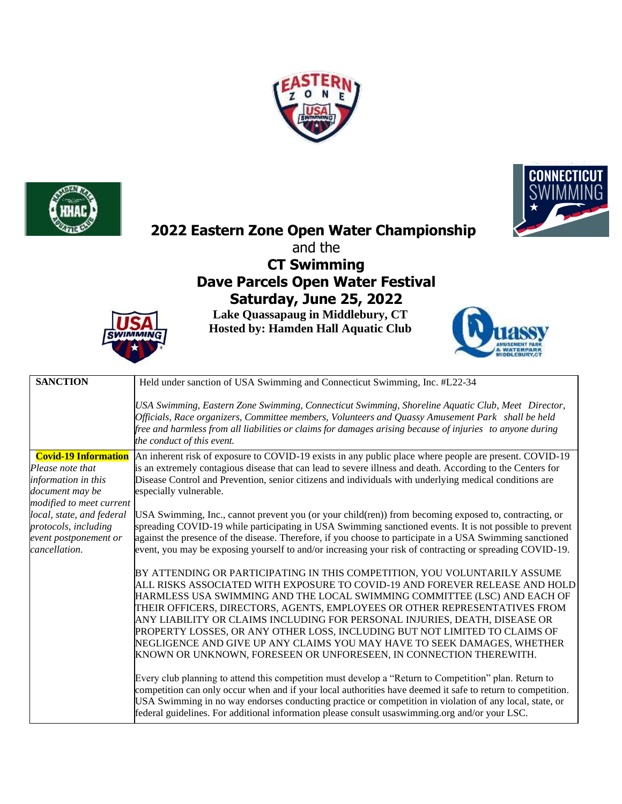





# **2022 Eastern Zone Open Water Championship**

and the

# **CT Swimming Dave Parcels Open Water Festival Saturday, June 25, 2022**

**Lake Quassapaug in Middlebury, CT Hosted by: Hamden Hall Aquatic Club**





| <b>SANCTION</b>             | Held under sanction of USA Swimming and Connecticut Swimming, Inc. #L22-34                                                                                                                                                                                                                                                                        |  |
|-----------------------------|---------------------------------------------------------------------------------------------------------------------------------------------------------------------------------------------------------------------------------------------------------------------------------------------------------------------------------------------------|--|
|                             | USA Swimming, Eastern Zone Swimming, Connecticut Swimming, Shoreline Aquatic Club, Meet Director,<br>Officials, Race organizers, Committee members, Volunteers and Quassy Amusement Park shall be held<br>free and harmless from all liabilities or claims for damages arising because of injuries to anyone during<br>the conduct of this event. |  |
| <b>Covid-19 Information</b> | An inherent risk of exposure to COVID-19 exists in any public place where people are present. COVID-19                                                                                                                                                                                                                                            |  |
| Please note that            | is an extremely contagious disease that can lead to severe illness and death. According to the Centers for                                                                                                                                                                                                                                        |  |
| information in this         | Disease Control and Prevention, senior citizens and individuals with underlying medical conditions are                                                                                                                                                                                                                                            |  |
| document may be             | especially vulnerable.                                                                                                                                                                                                                                                                                                                            |  |
| modified to meet current    |                                                                                                                                                                                                                                                                                                                                                   |  |
| local, state, and federal   | USA Swimming, Inc., cannot prevent you (or your child(ren)) from becoming exposed to, contracting, or                                                                                                                                                                                                                                             |  |
| protocols, including        | spreading COVID-19 while participating in USA Swimming sanctioned events. It is not possible to prevent                                                                                                                                                                                                                                           |  |
| event postponement or       | against the presence of the disease. Therefore, if you choose to participate in a USA Swimming sanctioned                                                                                                                                                                                                                                         |  |
| cancellation.               | event, you may be exposing yourself to and/or increasing your risk of contracting or spreading COVID-19.                                                                                                                                                                                                                                          |  |
|                             | BY ATTENDING OR PARTICIPATING IN THIS COMPETITION, YOU VOLUNTARILY ASSUME                                                                                                                                                                                                                                                                         |  |
|                             | ALL RISKS ASSOCIATED WITH EXPOSURE TO COVID-19 AND FOREVER RELEASE AND HOLD                                                                                                                                                                                                                                                                       |  |
|                             | HARMLESS USA SWIMMING AND THE LOCAL SWIMMING COMMITTEE (LSC) AND EACH OF                                                                                                                                                                                                                                                                          |  |
|                             | THEIR OFFICERS, DIRECTORS, AGENTS, EMPLOYEES OR OTHER REPRESENTATIVES FROM                                                                                                                                                                                                                                                                        |  |
|                             | ANY LIABILITY OR CLAIMS INCLUDING FOR PERSONAL INJURIES, DEATH, DISEASE OR                                                                                                                                                                                                                                                                        |  |
|                             | PROPERTY LOSSES, OR ANY OTHER LOSS, INCLUDING BUT NOT LIMITED TO CLAIMS OF                                                                                                                                                                                                                                                                        |  |
|                             | NEGLIGENCE AND GIVE UP ANY CLAIMS YOU MAY HAVE TO SEEK DAMAGES, WHETHER                                                                                                                                                                                                                                                                           |  |
|                             | KNOWN OR UNKNOWN, FORESEEN OR UNFORESEEN, IN CONNECTION THEREWITH.                                                                                                                                                                                                                                                                                |  |
|                             |                                                                                                                                                                                                                                                                                                                                                   |  |
|                             | Every club planning to attend this competition must develop a "Return to Competition" plan. Return to                                                                                                                                                                                                                                             |  |
|                             | competition can only occur when and if your local authorities have deemed it safe to return to competition.                                                                                                                                                                                                                                       |  |
|                             | USA Swimming in no way endorses conducting practice or competition in violation of any local, state, or                                                                                                                                                                                                                                           |  |
|                             | federal guidelines. For additional information please consult usaswimming.org and/or your LSC.                                                                                                                                                                                                                                                    |  |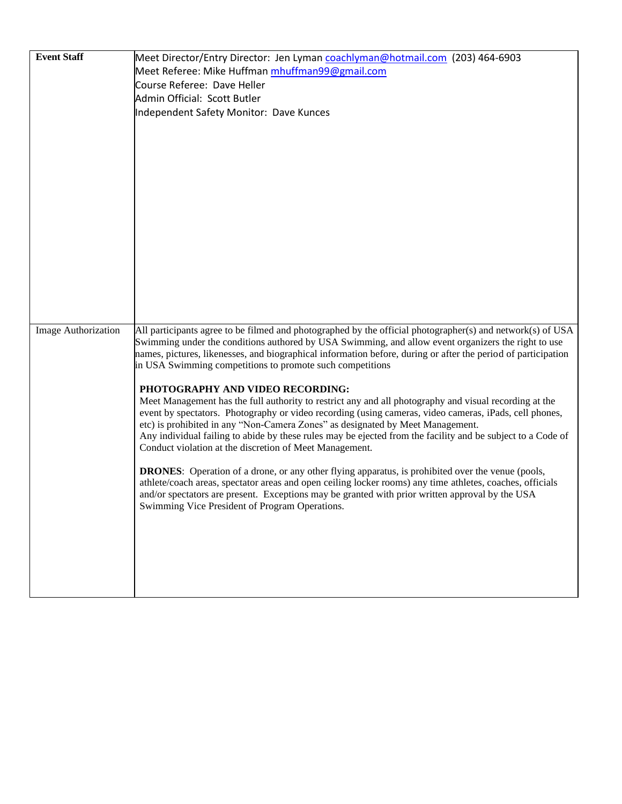| <b>Event Staff</b>         | Meet Director/Entry Director: Jen Lyman coachlyman@hotmail.com (203) 464-6903                                                                                                                                    |
|----------------------------|------------------------------------------------------------------------------------------------------------------------------------------------------------------------------------------------------------------|
|                            | Meet Referee: Mike Huffman mhuffman99@gmail.com                                                                                                                                                                  |
|                            | Course Referee: Dave Heller                                                                                                                                                                                      |
|                            | Admin Official: Scott Butler                                                                                                                                                                                     |
|                            | Independent Safety Monitor: Dave Kunces                                                                                                                                                                          |
|                            |                                                                                                                                                                                                                  |
|                            |                                                                                                                                                                                                                  |
|                            |                                                                                                                                                                                                                  |
|                            |                                                                                                                                                                                                                  |
|                            |                                                                                                                                                                                                                  |
|                            |                                                                                                                                                                                                                  |
|                            |                                                                                                                                                                                                                  |
|                            |                                                                                                                                                                                                                  |
|                            |                                                                                                                                                                                                                  |
|                            |                                                                                                                                                                                                                  |
|                            |                                                                                                                                                                                                                  |
|                            |                                                                                                                                                                                                                  |
|                            |                                                                                                                                                                                                                  |
|                            |                                                                                                                                                                                                                  |
|                            |                                                                                                                                                                                                                  |
| <b>Image Authorization</b> | All participants agree to be filmed and photographed by the official photographer(s) and network(s) of USA                                                                                                       |
|                            | Swimming under the conditions authored by USA Swimming, and allow event organizers the right to use                                                                                                              |
|                            | names, pictures, likenesses, and biographical information before, during or after the period of participation                                                                                                    |
|                            | in USA Swimming competitions to promote such competitions                                                                                                                                                        |
|                            |                                                                                                                                                                                                                  |
|                            | PHOTOGRAPHY AND VIDEO RECORDING:                                                                                                                                                                                 |
|                            | Meet Management has the full authority to restrict any and all photography and visual recording at the<br>event by spectators. Photography or video recording (using cameras, video cameras, iPads, cell phones, |
|                            | etc) is prohibited in any "Non-Camera Zones" as designated by Meet Management.                                                                                                                                   |
|                            | Any individual failing to abide by these rules may be ejected from the facility and be subject to a Code of                                                                                                      |
|                            | Conduct violation at the discretion of Meet Management.                                                                                                                                                          |
|                            |                                                                                                                                                                                                                  |
|                            | <b>DRONES:</b> Operation of a drone, or any other flying apparatus, is prohibited over the venue (pools,                                                                                                         |
|                            | athlete/coach areas, spectator areas and open ceiling locker rooms) any time athletes, coaches, officials<br>and/or spectators are present. Exceptions may be granted with prior written approval by the USA     |
|                            | Swimming Vice President of Program Operations.                                                                                                                                                                   |
|                            |                                                                                                                                                                                                                  |
|                            |                                                                                                                                                                                                                  |
|                            |                                                                                                                                                                                                                  |
|                            |                                                                                                                                                                                                                  |
|                            |                                                                                                                                                                                                                  |
|                            |                                                                                                                                                                                                                  |
|                            |                                                                                                                                                                                                                  |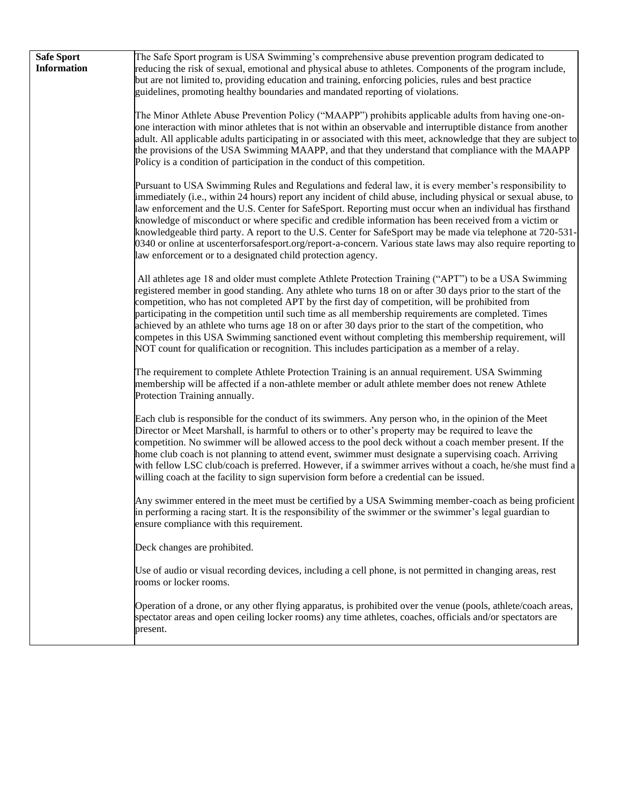| <b>Safe Sport</b><br><b>Information</b> | The Safe Sport program is USA Swimming's comprehensive abuse prevention program dedicated to<br>reducing the risk of sexual, emotional and physical abuse to athletes. Components of the program include,<br>but are not limited to, providing education and training, enforcing policies, rules and best practice<br>guidelines, promoting healthy boundaries and mandated reporting of violations.                                                                                                                                                                                                                                                                                                                                              |
|-----------------------------------------|---------------------------------------------------------------------------------------------------------------------------------------------------------------------------------------------------------------------------------------------------------------------------------------------------------------------------------------------------------------------------------------------------------------------------------------------------------------------------------------------------------------------------------------------------------------------------------------------------------------------------------------------------------------------------------------------------------------------------------------------------|
|                                         | The Minor Athlete Abuse Prevention Policy ("MAAPP") prohibits applicable adults from having one-on-<br>one interaction with minor athletes that is not within an observable and interruptible distance from another<br>adult. All applicable adults participating in or associated with this meet, acknowledge that they are subject to<br>the provisions of the USA Swimming MAAPP, and that they understand that compliance with the MAAPP<br>Policy is a condition of participation in the conduct of this competition.                                                                                                                                                                                                                        |
|                                         | Pursuant to USA Swimming Rules and Regulations and federal law, it is every member's responsibility to<br>immediately (i.e., within 24 hours) report any incident of child abuse, including physical or sexual abuse, to<br>law enforcement and the U.S. Center for SafeSport. Reporting must occur when an individual has firsthand<br>knowledge of misconduct or where specific and credible information has been received from a victim or<br>knowledgeable third party. A report to the U.S. Center for SafeSport may be made via telephone at 720-531-<br>0340 or online at uscenterforsafesport.org/report-a-concern. Various state laws may also require reporting to<br>law enforcement or to a designated child protection agency.       |
|                                         | All athletes age 18 and older must complete Athlete Protection Training ("APT") to be a USA Swimming<br>registered member in good standing. Any athlete who turns 18 on or after 30 days prior to the start of the<br>competition, who has not completed APT by the first day of competition, will be prohibited from<br>participating in the competition until such time as all membership requirements are completed. Times<br>achieved by an athlete who turns age 18 on or after 30 days prior to the start of the competition, who<br>competes in this USA Swimming sanctioned event without completing this membership requirement, will<br>NOT count for qualification or recognition. This includes participation as a member of a relay. |
|                                         | The requirement to complete Athlete Protection Training is an annual requirement. USA Swimming<br>membership will be affected if a non-athlete member or adult athlete member does not renew Athlete<br>Protection Training annually.                                                                                                                                                                                                                                                                                                                                                                                                                                                                                                             |
|                                         | Each club is responsible for the conduct of its swimmers. Any person who, in the opinion of the Meet<br>Director or Meet Marshall, is harmful to others or to other's property may be required to leave the<br>competition. No swimmer will be allowed access to the pool deck without a coach member present. If the<br>home club coach is not planning to attend event, swimmer must designate a supervising coach. Arriving<br>with fellow LSC club/coach is preferred. However, if a swimmer arrives without a coach, he/she must find a<br>willing coach at the facility to sign supervision form before a credential can be issued.                                                                                                         |
|                                         | Any swimmer entered in the meet must be certified by a USA Swimming member-coach as being proficient<br>in performing a racing start. It is the responsibility of the swimmer or the swimmer's legal guardian to<br>ensure compliance with this requirement.                                                                                                                                                                                                                                                                                                                                                                                                                                                                                      |
|                                         | Deck changes are prohibited.                                                                                                                                                                                                                                                                                                                                                                                                                                                                                                                                                                                                                                                                                                                      |
|                                         | Use of audio or visual recording devices, including a cell phone, is not permitted in changing areas, rest<br>rooms or locker rooms.                                                                                                                                                                                                                                                                                                                                                                                                                                                                                                                                                                                                              |
|                                         | Operation of a drone, or any other flying apparatus, is prohibited over the venue (pools, athlete/coach areas,<br>spectator areas and open ceiling locker rooms) any time athletes, coaches, officials and/or spectators are<br>present.                                                                                                                                                                                                                                                                                                                                                                                                                                                                                                          |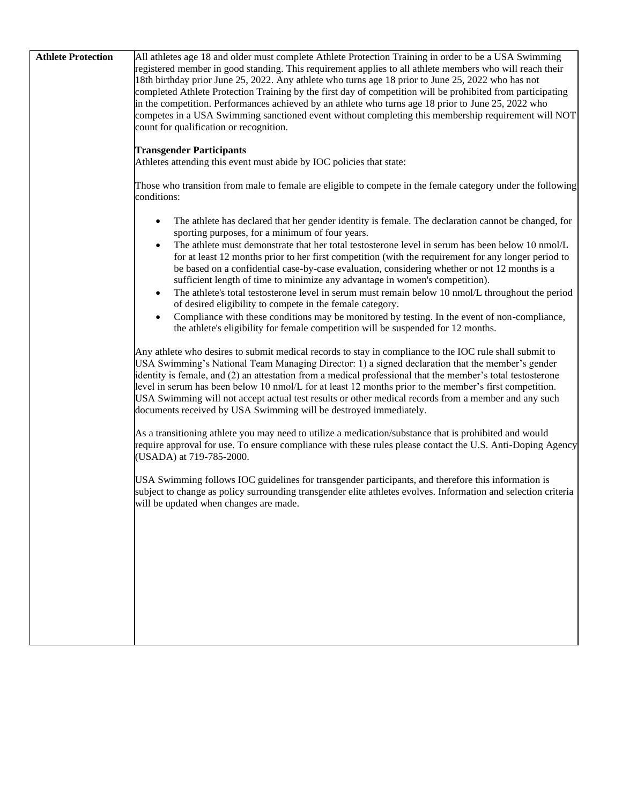| <b>Athlete Protection</b> | All athletes age 18 and older must complete Athlete Protection Training in order to be a USA Swimming                                                                         |
|---------------------------|-------------------------------------------------------------------------------------------------------------------------------------------------------------------------------|
|                           | registered member in good standing. This requirement applies to all athlete members who will reach their                                                                      |
|                           | 18th birthday prior June 25, 2022. Any athlete who turns age 18 prior to June 25, 2022 who has not                                                                            |
|                           | completed Athlete Protection Training by the first day of competition will be prohibited from participating                                                                   |
|                           | in the competition. Performances achieved by an athlete who turns age 18 prior to June 25, 2022 who                                                                           |
|                           | competes in a USA Swimming sanctioned event without completing this membership requirement will NOT                                                                           |
|                           | count for qualification or recognition.                                                                                                                                       |
|                           | <b>Transgender Participants</b>                                                                                                                                               |
|                           | Athletes attending this event must abide by IOC policies that state:                                                                                                          |
|                           |                                                                                                                                                                               |
|                           | Those who transition from male to female are eligible to compete in the female category under the following                                                                   |
|                           | conditions:                                                                                                                                                                   |
|                           |                                                                                                                                                                               |
|                           | The athlete has declared that her gender identity is female. The declaration cannot be changed, for                                                                           |
|                           | sporting purposes, for a minimum of four years.                                                                                                                               |
|                           | The athlete must demonstrate that her total testosterone level in serum has been below 10 nmol/L                                                                              |
|                           | for at least 12 months prior to her first competition (with the requirement for any longer period to                                                                          |
|                           | be based on a confidential case-by-case evaluation, considering whether or not 12 months is a<br>sufficient length of time to minimize any advantage in women's competition). |
|                           | The athlete's total testosterone level in serum must remain below 10 nmol/L throughout the period                                                                             |
|                           | of desired eligibility to compete in the female category.                                                                                                                     |
|                           | Compliance with these conditions may be monitored by testing. In the event of non-compliance,                                                                                 |
|                           | the athlete's eligibility for female competition will be suspended for 12 months.                                                                                             |
|                           |                                                                                                                                                                               |
|                           | Any athlete who desires to submit medical records to stay in compliance to the IOC rule shall submit to                                                                       |
|                           | USA Swimming's National Team Managing Director: 1) a signed declaration that the member's gender                                                                              |
|                           | identity is female, and (2) an attestation from a medical professional that the member's total testosterone                                                                   |
|                           | level in serum has been below 10 nmol/L for at least 12 months prior to the member's first competition.                                                                       |
|                           | USA Swimming will not accept actual test results or other medical records from a member and any such                                                                          |
|                           | documents received by USA Swimming will be destroyed immediately.                                                                                                             |
|                           | As a transitioning athlete you may need to utilize a medication/substance that is prohibited and would                                                                        |
|                           | require approval for use. To ensure compliance with these rules please contact the U.S. Anti-Doping Agency                                                                    |
|                           | (USADA) at 719-785-2000.                                                                                                                                                      |
|                           |                                                                                                                                                                               |
|                           | USA Swimming follows IOC guidelines for transgender participants, and therefore this information is                                                                           |
|                           | subject to change as policy surrounding transgender elite athletes evolves. Information and selection criteria                                                                |
|                           | will be updated when changes are made.                                                                                                                                        |
|                           |                                                                                                                                                                               |
|                           |                                                                                                                                                                               |
|                           |                                                                                                                                                                               |
|                           |                                                                                                                                                                               |
|                           |                                                                                                                                                                               |
|                           |                                                                                                                                                                               |
|                           |                                                                                                                                                                               |
|                           |                                                                                                                                                                               |
|                           |                                                                                                                                                                               |
|                           |                                                                                                                                                                               |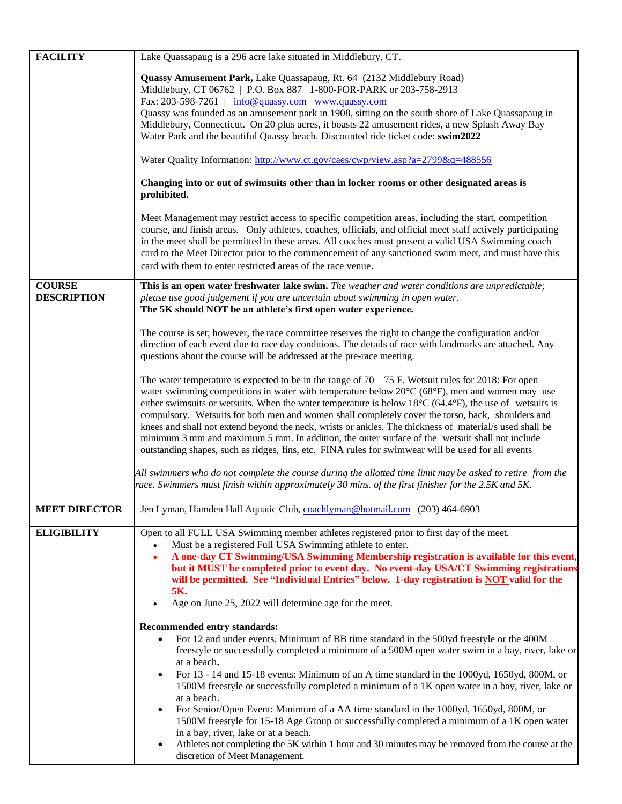| <b>FACILITY</b>      | Lake Quassapaug is a 296 acre lake situated in Middlebury, CT.                                                                                                                                                                                                                                                                                                                                                                                                                                 |
|----------------------|------------------------------------------------------------------------------------------------------------------------------------------------------------------------------------------------------------------------------------------------------------------------------------------------------------------------------------------------------------------------------------------------------------------------------------------------------------------------------------------------|
|                      | Quassy Amusement Park, Lake Quassapaug, Rt. 64 (2132 Middlebury Road)                                                                                                                                                                                                                                                                                                                                                                                                                          |
|                      | Middlebury, CT 06762   P.O. Box 887 1-800-FOR-PARK or 203-758-2913                                                                                                                                                                                                                                                                                                                                                                                                                             |
|                      | Fax: 203-598-7261   info@quassy.com www.quassy.com                                                                                                                                                                                                                                                                                                                                                                                                                                             |
|                      | Quassy was founded as an amusement park in 1908, sitting on the south shore of Lake Quassapaug in                                                                                                                                                                                                                                                                                                                                                                                              |
|                      | Middlebury, Connecticut. On 20 plus acres, it boasts 22 amusement rides, a new Splash Away Bay                                                                                                                                                                                                                                                                                                                                                                                                 |
|                      | Water Park and the beautiful Quassy beach. Discounted ride ticket code: swim2022                                                                                                                                                                                                                                                                                                                                                                                                               |
|                      | Water Quality Information: http://www.ct.gov/caes/cwp/view.asp?a=2799&q=488556                                                                                                                                                                                                                                                                                                                                                                                                                 |
|                      | Changing into or out of swimsuits other than in locker rooms or other designated areas is<br>prohibited.                                                                                                                                                                                                                                                                                                                                                                                       |
|                      | Meet Management may restrict access to specific competition areas, including the start, competition<br>course, and finish areas. Only athletes, coaches, officials, and official meet staff actively participating<br>in the meet shall be permitted in these areas. All coaches must present a valid USA Swimming coach<br>card to the Meet Director prior to the commencement of any sanctioned swim meet, and must have this<br>card with them to enter restricted areas of the race venue. |
| <b>COURSE</b>        | This is an open water freshwater lake swim. The weather and water conditions are unpredictable;                                                                                                                                                                                                                                                                                                                                                                                                |
| <b>DESCRIPTION</b>   | please use good judgement if you are uncertain about swimming in open water.                                                                                                                                                                                                                                                                                                                                                                                                                   |
|                      | The 5K should NOT be an athlete's first open water experience.                                                                                                                                                                                                                                                                                                                                                                                                                                 |
|                      |                                                                                                                                                                                                                                                                                                                                                                                                                                                                                                |
|                      | The course is set; however, the race committee reserves the right to change the configuration and/or                                                                                                                                                                                                                                                                                                                                                                                           |
|                      | direction of each event due to race day conditions. The details of race with landmarks are attached. Any                                                                                                                                                                                                                                                                                                                                                                                       |
|                      | questions about the course will be addressed at the pre-race meeting.                                                                                                                                                                                                                                                                                                                                                                                                                          |
|                      | The water temperature is expected to be in the range of $70-75$ F. Wetsuit rules for 2018: For open                                                                                                                                                                                                                                                                                                                                                                                            |
|                      | water swimming competitions in water with temperature below $20^{\circ}C$ (68 $^{\circ}F$ ), men and women may use                                                                                                                                                                                                                                                                                                                                                                             |
|                      | either swimsuits or wetsuits. When the water temperature is below $18^{\circ}$ C (64.4 $^{\circ}$ F), the use of wetsuits is                                                                                                                                                                                                                                                                                                                                                                   |
|                      | compulsory. Wetsuits for both men and women shall completely cover the torso, back, shoulders and                                                                                                                                                                                                                                                                                                                                                                                              |
|                      | knees and shall not extend beyond the neck, wrists or ankles. The thickness of material/s used shall be                                                                                                                                                                                                                                                                                                                                                                                        |
|                      | minimum 3 mm and maximum 5 mm. In addition, the outer surface of the wetsuit shall not include                                                                                                                                                                                                                                                                                                                                                                                                 |
|                      | outstanding shapes, such as ridges, fins, etc. FINA rules for swimwear will be used for all events                                                                                                                                                                                                                                                                                                                                                                                             |
|                      | All swimmers who do not complete the course during the allotted time limit may be asked to retire from the                                                                                                                                                                                                                                                                                                                                                                                     |
|                      | race. Swimmers must finish within approximately 30 mins. of the first finisher for the 2.5K and 5K.                                                                                                                                                                                                                                                                                                                                                                                            |
|                      |                                                                                                                                                                                                                                                                                                                                                                                                                                                                                                |
| <b>MEET DIRECTOR</b> | Jen Lyman, Hamden Hall Aquatic Club, coachlyman@hotmail.com (203) 464-6903                                                                                                                                                                                                                                                                                                                                                                                                                     |
|                      |                                                                                                                                                                                                                                                                                                                                                                                                                                                                                                |
| <b>ELIGIBILITY</b>   | Open to all FULL USA Swimming member athletes registered prior to first day of the meet.                                                                                                                                                                                                                                                                                                                                                                                                       |
|                      | Must be a registered Full USA Swimming athlete to enter.<br>$\bullet$                                                                                                                                                                                                                                                                                                                                                                                                                          |
|                      | A one-day CT Swimming/USA Swimming Membership registration is available for this event,<br>$\bullet$<br>but it MUST be completed prior to event day. No event-day USA/CT Swimming registrations                                                                                                                                                                                                                                                                                                |
|                      | will be permitted. See "Individual Entries" below. 1-day registration is <b>NOT</b> valid for the                                                                                                                                                                                                                                                                                                                                                                                              |
|                      | 5K.                                                                                                                                                                                                                                                                                                                                                                                                                                                                                            |
|                      | Age on June 25, 2022 will determine age for the meet.<br>$\bullet$                                                                                                                                                                                                                                                                                                                                                                                                                             |
|                      |                                                                                                                                                                                                                                                                                                                                                                                                                                                                                                |
|                      | Recommended entry standards:                                                                                                                                                                                                                                                                                                                                                                                                                                                                   |
|                      | For 12 and under events, Minimum of BB time standard in the 500yd freestyle or the 400M<br>$\bullet$                                                                                                                                                                                                                                                                                                                                                                                           |
|                      | freestyle or successfully completed a minimum of a 500M open water swim in a bay, river, lake or<br>at a beach.                                                                                                                                                                                                                                                                                                                                                                                |
|                      | For 13 - 14 and 15-18 events: Minimum of an A time standard in the 1000yd, 1650yd, 800M, or<br>$\bullet$                                                                                                                                                                                                                                                                                                                                                                                       |
|                      | 1500M freestyle or successfully completed a minimum of a 1K open water in a bay, river, lake or                                                                                                                                                                                                                                                                                                                                                                                                |
|                      | at a beach.                                                                                                                                                                                                                                                                                                                                                                                                                                                                                    |
|                      | For Senior/Open Event: Minimum of a AA time standard in the 1000yd, 1650yd, 800M, or                                                                                                                                                                                                                                                                                                                                                                                                           |
|                      | 1500M freestyle for 15-18 Age Group or successfully completed a minimum of a 1K open water                                                                                                                                                                                                                                                                                                                                                                                                     |
|                      | in a bay, river, lake or at a beach.                                                                                                                                                                                                                                                                                                                                                                                                                                                           |
|                      | Athletes not completing the 5K within 1 hour and 30 minutes may be removed from the course at the<br>discretion of Meet Management.                                                                                                                                                                                                                                                                                                                                                            |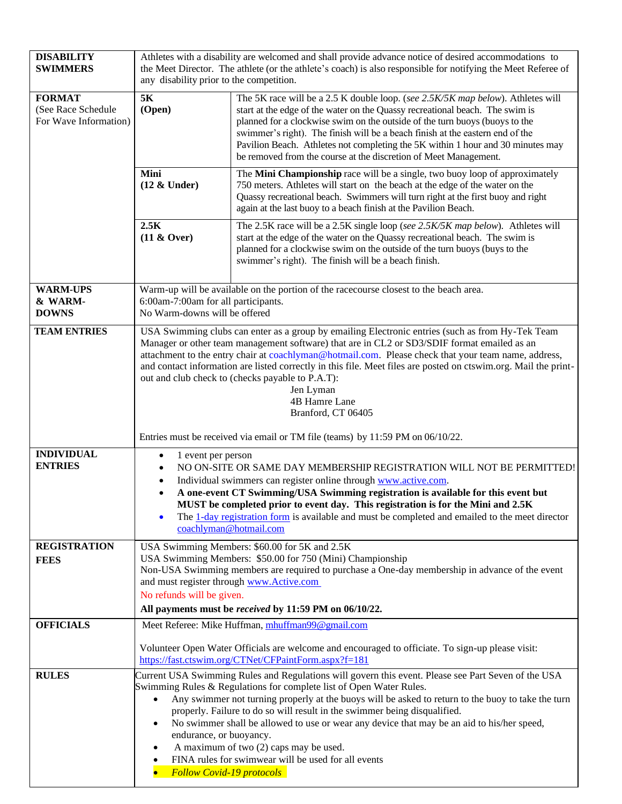| <b>DISABILITY</b><br><b>SWIMMERS</b>                         | Athletes with a disability are welcomed and shall provide advance notice of desired accommodations to<br>the Meet Director. The athlete (or the athlete's coach) is also responsible for notifying the Meet Referee of<br>any disability prior to the competition. |                                                                                                                                                                                                                                                                                                                                                                                                                                                                                                                                                              |
|--------------------------------------------------------------|--------------------------------------------------------------------------------------------------------------------------------------------------------------------------------------------------------------------------------------------------------------------|--------------------------------------------------------------------------------------------------------------------------------------------------------------------------------------------------------------------------------------------------------------------------------------------------------------------------------------------------------------------------------------------------------------------------------------------------------------------------------------------------------------------------------------------------------------|
| <b>FORMAT</b><br>(See Race Schedule<br>For Wave Information) | 5K<br>(Open)                                                                                                                                                                                                                                                       | The 5K race will be a 2.5 K double loop. (see 2.5K/5K map below). Athletes will<br>start at the edge of the water on the Quassy recreational beach. The swim is<br>planned for a clockwise swim on the outside of the turn buoys (buoys to the<br>swimmer's right). The finish will be a beach finish at the eastern end of the<br>Pavilion Beach. Athletes not completing the 5K within 1 hour and 30 minutes may<br>be removed from the course at the discretion of Meet Management.                                                                       |
|                                                              | Mini<br>$(12 \&$ Under)                                                                                                                                                                                                                                            | The Mini Championship race will be a single, two buoy loop of approximately<br>750 meters. Athletes will start on the beach at the edge of the water on the<br>Quassy recreational beach. Swimmers will turn right at the first buoy and right<br>again at the last buoy to a beach finish at the Pavilion Beach.                                                                                                                                                                                                                                            |
|                                                              | 2.5K<br>$(11 & \text{Over})$                                                                                                                                                                                                                                       | The 2.5K race will be a 2.5K single loop (see 2.5K/5K map below). Athletes will<br>start at the edge of the water on the Quassy recreational beach. The swim is<br>planned for a clockwise swim on the outside of the turn buoys (buys to the<br>swimmer's right). The finish will be a beach finish.                                                                                                                                                                                                                                                        |
| <b>WARM-UPS</b><br>& WARM-<br><b>DOWNS</b>                   | 6:00am-7:00am for all participants.<br>No Warm-downs will be offered                                                                                                                                                                                               | Warm-up will be available on the portion of the racecourse closest to the beach area.                                                                                                                                                                                                                                                                                                                                                                                                                                                                        |
| <b>TEAM ENTRIES</b>                                          |                                                                                                                                                                                                                                                                    | USA Swimming clubs can enter as a group by emailing Electronic entries (such as from Hy-Tek Team<br>Manager or other team management software) that are in CL2 or SD3/SDIF format emailed as an<br>attachment to the entry chair at coachlyman@hotmail.com. Please check that your team name, address,<br>and contact information are listed correctly in this file. Meet files are posted on ctswim.org. Mail the print-<br>out and club check to (checks payable to P.A.T):<br>Jen Lyman<br>4B Hamre Lane<br>Branford, CT 06405                            |
| <b>INDIVIDUAL</b><br><b>ENTRIES</b>                          | 1 event per person<br>$\bullet$<br>$\bullet$<br>coachlyman@hotmail.com                                                                                                                                                                                             | Entries must be received via email or TM file (teams) by 11:59 PM on 06/10/22.<br>NO ON-SITE OR SAME DAY MEMBERSHIP REGISTRATION WILL NOT BE PERMITTED!<br>Individual swimmers can register online through www.active.com.<br>A one-event CT Swimming/USA Swimming registration is available for this event but<br>MUST be completed prior to event day. This registration is for the Mini and 2.5K<br>The 1-day registration form is available and must be completed and emailed to the meet director                                                       |
| <b>REGISTRATION</b><br><b>FEES</b>                           | and must register through www.Active.com<br>No refunds will be given.                                                                                                                                                                                              | USA Swimming Members: \$60.00 for 5K and 2.5K<br>USA Swimming Members: \$50.00 for 750 (Mini) Championship<br>Non-USA Swimming members are required to purchase a One-day membership in advance of the event<br>All payments must be received by 11:59 PM on 06/10/22.                                                                                                                                                                                                                                                                                       |
| <b>OFFICIALS</b>                                             |                                                                                                                                                                                                                                                                    | Meet Referee: Mike Huffman, mhuffman99@gmail.com                                                                                                                                                                                                                                                                                                                                                                                                                                                                                                             |
|                                                              |                                                                                                                                                                                                                                                                    | Volunteer Open Water Officials are welcome and encouraged to officiate. To sign-up please visit:<br>https://fast.ctswim.org/CTNet/CFPaintForm.aspx?f=181                                                                                                                                                                                                                                                                                                                                                                                                     |
| <b>RULES</b>                                                 | $\bullet$<br>$\bullet$<br>endurance, or buoyancy.<br>$\bullet$<br>$\bullet$<br><b>Follow Covid-19 protocols</b><br>$\bullet$                                                                                                                                       | Current USA Swimming Rules and Regulations will govern this event. Please see Part Seven of the USA<br>Swimming Rules & Regulations for complete list of Open Water Rules.<br>Any swimmer not turning properly at the buoys will be asked to return to the buoy to take the turn<br>properly. Failure to do so will result in the swimmer being disqualified.<br>No swimmer shall be allowed to use or wear any device that may be an aid to his/her speed,<br>A maximum of two (2) caps may be used.<br>FINA rules for swimwear will be used for all events |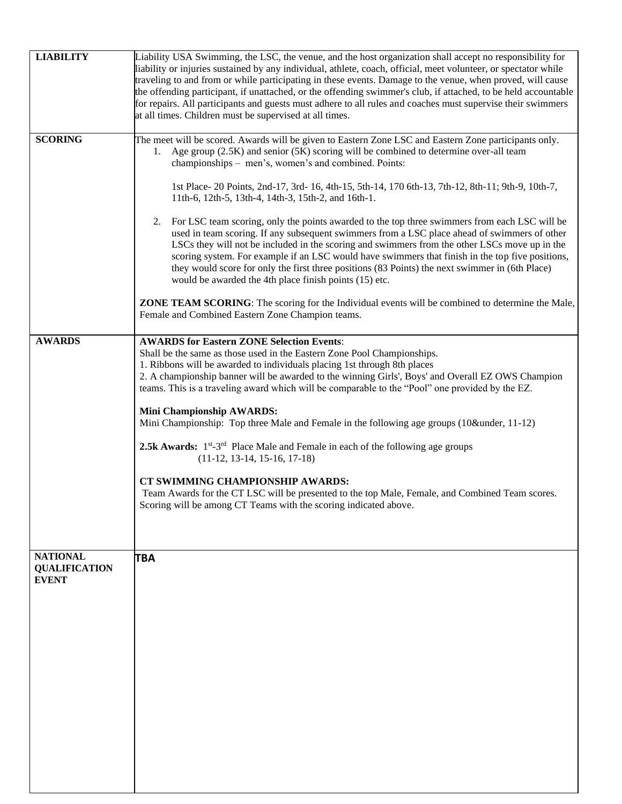| <b>LIABILITY</b>                                        | Liability USA Swimming, the LSC, the venue, and the host organization shall accept no responsibility for<br>liability or injuries sustained by any individual, athlete, coach, official, meet volunteer, or spectator while<br>traveling to and from or while participating in these events. Damage to the venue, when proved, will cause<br>the offending participant, if unattached, or the offending swimmer's club, if attached, to be held accountable<br>for repairs. All participants and guests must adhere to all rules and coaches must supervise their swimmers<br>at all times. Children must be supervised at all times.                                                                                                                                                                                                                                                                                                                                                                                                                                                                                                                   |
|---------------------------------------------------------|---------------------------------------------------------------------------------------------------------------------------------------------------------------------------------------------------------------------------------------------------------------------------------------------------------------------------------------------------------------------------------------------------------------------------------------------------------------------------------------------------------------------------------------------------------------------------------------------------------------------------------------------------------------------------------------------------------------------------------------------------------------------------------------------------------------------------------------------------------------------------------------------------------------------------------------------------------------------------------------------------------------------------------------------------------------------------------------------------------------------------------------------------------|
| <b>SCORING</b>                                          | The meet will be scored. Awards will be given to Eastern Zone LSC and Eastern Zone participants only.<br>1. Age group (2.5K) and senior (5K) scoring will be combined to determine over-all team<br>championships - men's, women's and combined. Points:<br>1st Place-20 Points, 2nd-17, 3rd-16, 4th-15, 5th-14, 170 6th-13, 7th-12, 8th-11; 9th-9, 10th-7,<br>11th-6, 12th-5, 13th-4, 14th-3, 15th-2, and 16th-1.<br>2. For LSC team scoring, only the points awarded to the top three swimmers from each LSC will be<br>used in team scoring. If any subsequent swimmers from a LSC place ahead of swimmers of other<br>LSCs they will not be included in the scoring and swimmers from the other LSCs move up in the<br>scoring system. For example if an LSC would have swimmers that finish in the top five positions,<br>they would score for only the first three positions (83 Points) the next swimmer in (6th Place)<br>would be awarded the 4th place finish points (15) etc.<br><b>ZONE TEAM SCORING:</b> The scoring for the Individual events will be combined to determine the Male,<br>Female and Combined Eastern Zone Champion teams. |
| <b>AWARDS</b>                                           | <b>AWARDS for Eastern ZONE Selection Events:</b><br>Shall be the same as those used in the Eastern Zone Pool Championships.<br>1. Ribbons will be awarded to individuals placing 1st through 8th places<br>2. A championship banner will be awarded to the winning Girls', Boys' and Overall EZ OWS Champion<br>teams. This is a traveling award which will be comparable to the "Pool" one provided by the EZ.<br><b>Mini Championship AWARDS:</b><br>Mini Championship: Top three Male and Female in the following age groups (10&under, 11-12)<br>2.5k Awards: 1 <sup>st</sup> -3 <sup>rd</sup> Place Male and Female in each of the following age groups<br>$(11-12, 13-14, 15-16, 17-18)$<br>CT SWIMMING CHAMPIONSHIP AWARDS:<br>Team Awards for the CT LSC will be presented to the top Male, Female, and Combined Team scores.<br>Scoring will be among CT Teams with the scoring indicated above.                                                                                                                                                                                                                                               |
| <b>NATIONAL</b><br><b>QUALIFICATION</b><br><b>EVENT</b> | <b>TBA</b>                                                                                                                                                                                                                                                                                                                                                                                                                                                                                                                                                                                                                                                                                                                                                                                                                                                                                                                                                                                                                                                                                                                                              |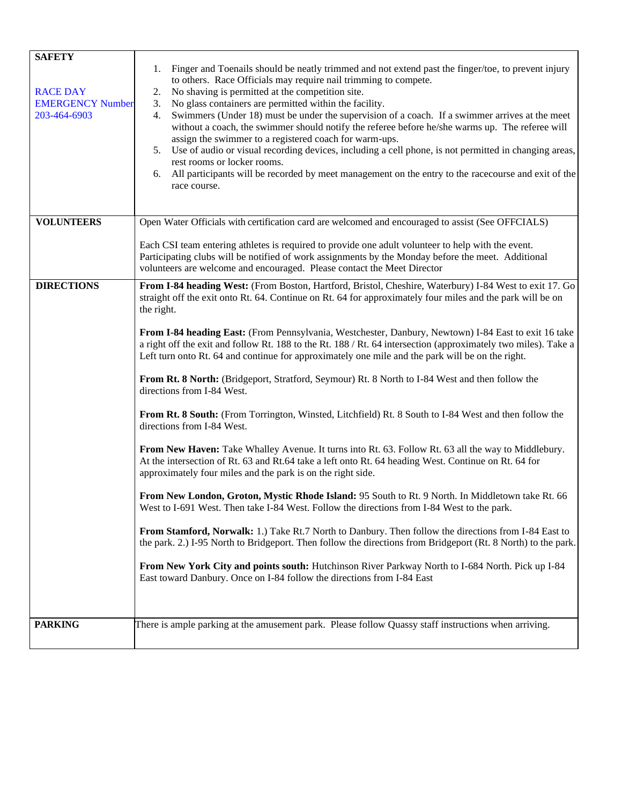| <b>SAFETY</b>                              |                                                                                                                                                                               |  |  |  |
|--------------------------------------------|-------------------------------------------------------------------------------------------------------------------------------------------------------------------------------|--|--|--|
|                                            | 1. Finger and Toenails should be neatly trimmed and not extend past the finger/toe, to prevent injury<br>to others. Race Officials may require nail trimming to compete.      |  |  |  |
| <b>RACE DAY</b><br><b>EMERGENCY Number</b> | No shaving is permitted at the competition site.<br>2.                                                                                                                        |  |  |  |
| 203-464-6903                               | No glass containers are permitted within the facility.<br>3.<br>Swimmers (Under 18) must be under the supervision of a coach. If a swimmer arrives at the meet<br>4.          |  |  |  |
|                                            | without a coach, the swimmer should notify the referee before he/she warms up. The referee will                                                                               |  |  |  |
|                                            | assign the swimmer to a registered coach for warm-ups.<br>5. Use of audio or visual recording devices, including a cell phone, is not permitted in changing areas,            |  |  |  |
|                                            | rest rooms or locker rooms.                                                                                                                                                   |  |  |  |
|                                            | 6. All participants will be recorded by meet management on the entry to the racecourse and exit of the                                                                        |  |  |  |
|                                            | race course.                                                                                                                                                                  |  |  |  |
|                                            |                                                                                                                                                                               |  |  |  |
| <b>VOLUNTEERS</b>                          | Open Water Officials with certification card are welcomed and encouraged to assist (See OFFCIALS)                                                                             |  |  |  |
|                                            | Each CSI team entering athletes is required to provide one adult volunteer to help with the event.                                                                            |  |  |  |
|                                            | Participating clubs will be notified of work assignments by the Monday before the meet. Additional<br>volunteers are welcome and encouraged. Please contact the Meet Director |  |  |  |
| <b>DIRECTIONS</b>                          | From I-84 heading West: (From Boston, Hartford, Bristol, Cheshire, Waterbury) I-84 West to exit 17. Go                                                                        |  |  |  |
|                                            | straight off the exit onto Rt. 64. Continue on Rt. 64 for approximately four miles and the park will be on                                                                    |  |  |  |
|                                            | the right.                                                                                                                                                                    |  |  |  |
|                                            | From I-84 heading East: (From Pennsylvania, Westchester, Danbury, Newtown) I-84 East to exit 16 take                                                                          |  |  |  |
|                                            | a right off the exit and follow Rt. 188 to the Rt. 188 / Rt. 64 intersection (approximately two miles). Take a                                                                |  |  |  |
|                                            | Left turn onto Rt. 64 and continue for approximately one mile and the park will be on the right.                                                                              |  |  |  |
|                                            | From Rt. 8 North: (Bridgeport, Stratford, Seymour) Rt. 8 North to I-84 West and then follow the<br>directions from I-84 West.                                                 |  |  |  |
|                                            | From Rt. 8 South: (From Torrington, Winsted, Litchfield) Rt. 8 South to I-84 West and then follow the<br>directions from I-84 West.                                           |  |  |  |
|                                            | From New Haven: Take Whalley Avenue. It turns into Rt. 63. Follow Rt. 63 all the way to Middlebury.                                                                           |  |  |  |
|                                            | At the intersection of Rt. 63 and Rt.64 take a left onto Rt. 64 heading West. Continue on Rt. 64 for<br>approximately four miles and the park is on the right side.           |  |  |  |
|                                            | From New London, Groton, Mystic Rhode Island: 95 South to Rt. 9 North. In Middletown take Rt. 66                                                                              |  |  |  |
|                                            | West to I-691 West. Then take I-84 West. Follow the directions from I-84 West to the park.                                                                                    |  |  |  |
|                                            | From Stamford, Norwalk: 1.) Take Rt.7 North to Danbury. Then follow the directions from I-84 East to                                                                          |  |  |  |
|                                            | the park. 2.) I-95 North to Bridgeport. Then follow the directions from Bridgeport (Rt. 8 North) to the park.                                                                 |  |  |  |
|                                            | From New York City and points south: Hutchinson River Parkway North to I-684 North. Pick up I-84                                                                              |  |  |  |
|                                            | East toward Danbury. Once on I-84 follow the directions from I-84 East                                                                                                        |  |  |  |
|                                            |                                                                                                                                                                               |  |  |  |
| <b>PARKING</b>                             |                                                                                                                                                                               |  |  |  |
|                                            | There is ample parking at the amusement park. Please follow Quassy staff instructions when arriving.                                                                          |  |  |  |
|                                            |                                                                                                                                                                               |  |  |  |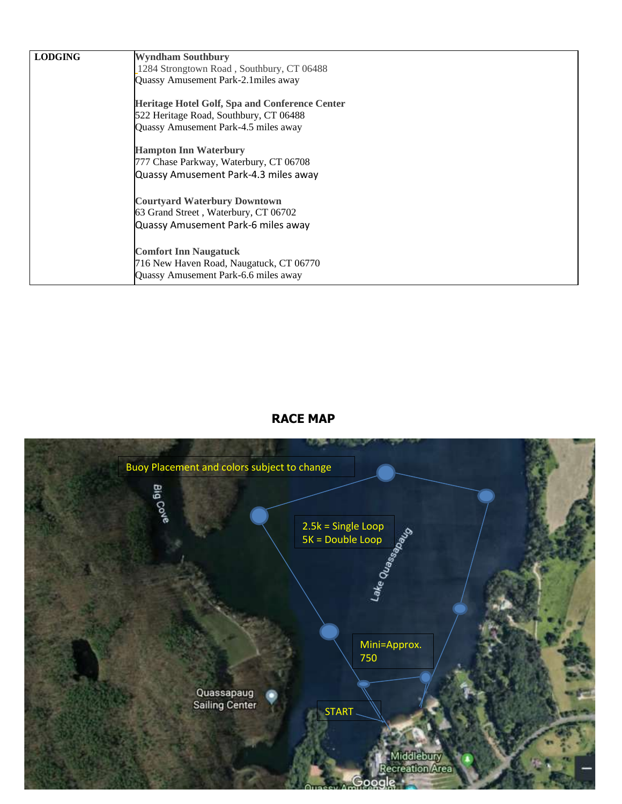| <b>LODGING</b> | <b>Wyndham Southbury</b>                              |
|----------------|-------------------------------------------------------|
|                | 1284 Strongtown Road, Southbury, CT 06488             |
|                | Quassy Amusement Park-2.1 miles away                  |
|                | <b>Heritage Hotel Golf, Spa and Conference Center</b> |
|                | 522 Heritage Road, Southbury, CT 06488                |
|                | Quassy Amusement Park-4.5 miles away                  |
|                | <b>Hampton Inn Waterbury</b>                          |
|                | 777 Chase Parkway, Waterbury, CT 06708                |
|                | Quassy Amusement Park-4.3 miles away                  |
|                | <b>Courtyard Waterbury Downtown</b>                   |
|                | 63 Grand Street, Waterbury, CT 06702                  |
|                | Quassy Amusement Park-6 miles away                    |
|                | <b>Comfort Inn Naugatuck</b>                          |
|                | 716 New Haven Road, Naugatuck, CT 06770               |
|                | Quassy Amusement Park-6.6 miles away                  |

## **RACE MAP**